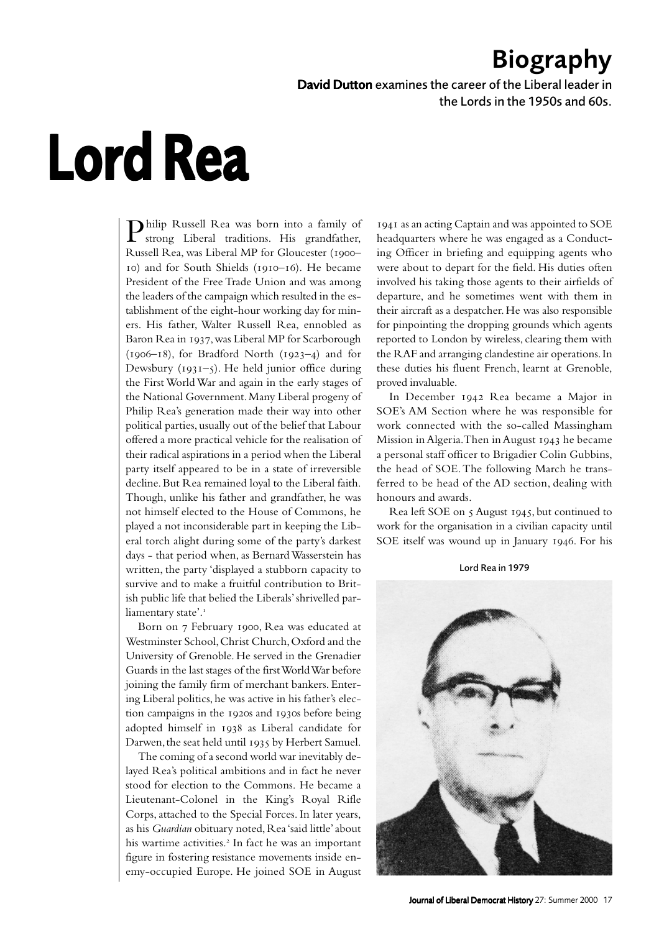## Biography

David Dutton examines the career of the Liberal leader in the Lords in the 1950s and 60s.

## Lord Rea

Philip Russell Rea was born into a family of strong Liberal traditions. His grandfather, Russell Rea, was Liberal MP for Gloucester (1900-10) and for South Shields (1910-16). He became President of the Free Trade Union and was among the leaders of the campaign which resulted in the establishment of the eight-hour working day for miners. His father, Walter Russell Rea, ennobled as Baron Rea in 1937, was Liberal MP for Scarborough  $(1906-18)$ , for Bradford North  $(1923-4)$  and for Dewsbury ( $1931-5$ ). He held junior office during the First World War and again in the early stages of the National Government. Many Liberal progeny of Philip Rea's generation made their way into other political parties, usually out of the belief that Labour offered a more practical vehicle for the realisation of their radical aspirations in a period when the Liberal party itself appeared to be in a state of irreversible decline. But Rea remained loyal to the Liberal faith. Though, unlike his father and grandfather, he was not himself elected to the House of Commons, he played a not inconsiderable part in keeping the Liberal torch alight during some of the party's darkest days - that period when, as Bernard Wasserstein has written, the party 'displayed a stubborn capacity to survive and to make a fruitful contribution to British public life that belied the Liberals' shrivelled parliamentary state'.<sup>1</sup>

Born on 7 February 1900, Rea was educated at Westminster School, Christ Church, Oxford and the University of Grenoble. He served in the Grenadier Guards in the last stages of the first World War before joining the family firm of merchant bankers. Entering Liberal politics, he was active in his father's election campaigns in the 1920s and 1930s before being adopted himself in 1938 as Liberal candidate for Darwen, the seat held until 1935 by Herbert Samuel.

The coming of a second world war inevitably delayed Rea's political ambitions and in fact he never stood for election to the Commons. He became a Lieutenant-Colonel in the King's Royal Rifle Corps, attached to the Special Forces. In later years, as his *Guardian* obituary noted, Rea 'said little' about his wartime activities.<sup>2</sup> In fact he was an important figure in fostering resistance movements inside enemy-occupied Europe. He joined SOE in August

 as an acting Captain and was appointed to SOE headquarters where he was engaged as a Conducting Officer in briefing and equipping agents who were about to depart for the field. His duties often involved his taking those agents to their airfields of departure, and he sometimes went with them in their aircraft as a despatcher. He was also responsible for pinpointing the dropping grounds which agents reported to London by wireless, clearing them with the RAF and arranging clandestine air operations. In these duties his fluent French, learnt at Grenoble, proved invaluable.

In December 1942 Rea became a Major in SOE's AM Section where he was responsible for work connected with the so-called Massingham Mission in Algeria. Then in August 1943 he became a personal staff officer to Brigadier Colin Gubbins, the head of SOE. The following March he transferred to be head of the AD section, dealing with honours and awards.

Rea left SOE on  $\zeta$  August 1945, but continued to work for the organisation in a civilian capacity until SOE itself was wound up in January 1946. For his

Lord Rea in 1979